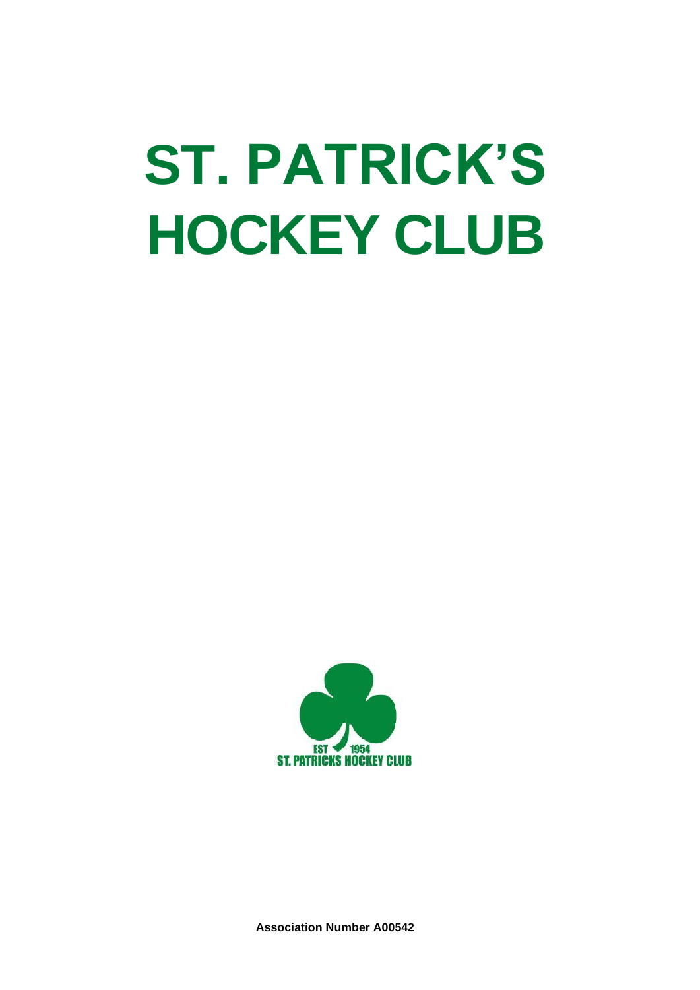# **ST. PATRICK'S HOCKEY CLUB**



**Association Number A00542**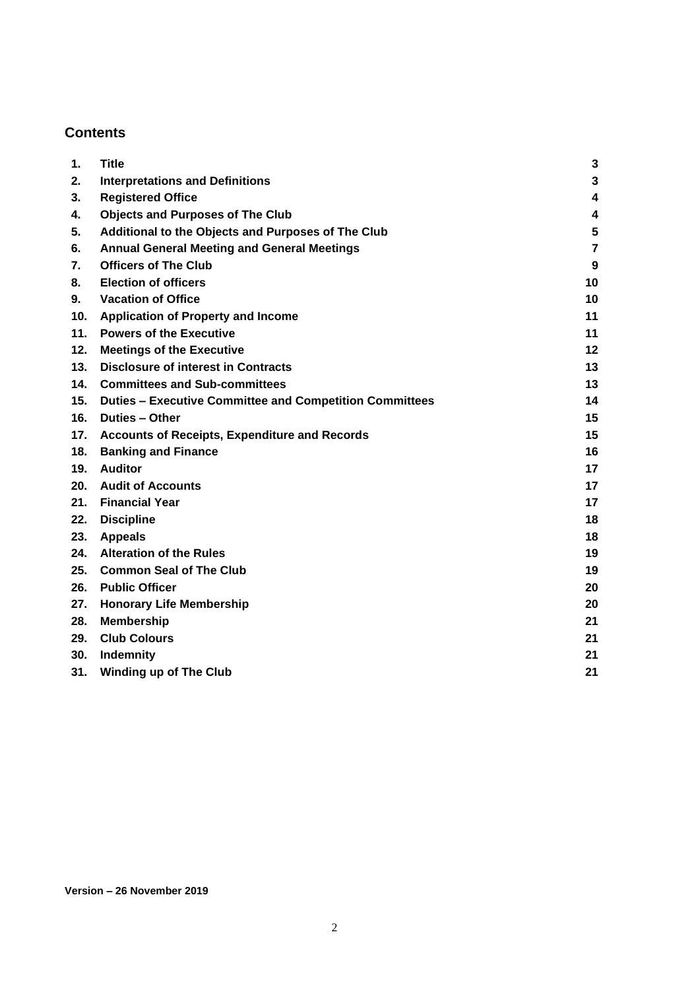#### **Contents**

| 1.  | <b>Title</b>                                                   | 3              |
|-----|----------------------------------------------------------------|----------------|
| 2.  | <b>Interpretations and Definitions</b>                         | 3              |
| 3.  | <b>Registered Office</b>                                       | 4              |
| 4.  | <b>Objects and Purposes of The Club</b>                        | 4              |
| 5.  | Additional to the Objects and Purposes of The Club             | 5              |
| 6.  | <b>Annual General Meeting and General Meetings</b>             | $\overline{7}$ |
| 7.  | <b>Officers of The Club</b>                                    | 9              |
| 8.  | <b>Election of officers</b>                                    | 10             |
| 9.  | <b>Vacation of Office</b>                                      | 10             |
| 10. | <b>Application of Property and Income</b>                      | 11             |
| 11. | <b>Powers of the Executive</b>                                 | 11             |
| 12. | <b>Meetings of the Executive</b>                               | 12             |
| 13. | <b>Disclosure of interest in Contracts</b>                     | 13             |
| 14. | <b>Committees and Sub-committees</b>                           | 13             |
| 15. | <b>Duties - Executive Committee and Competition Committees</b> | 14             |
| 16. | Duties - Other                                                 | 15             |
| 17. | <b>Accounts of Receipts, Expenditure and Records</b>           | 15             |
| 18. | <b>Banking and Finance</b>                                     | 16             |
| 19. | <b>Auditor</b>                                                 | 17             |
| 20. | <b>Audit of Accounts</b>                                       | 17             |
| 21. | <b>Financial Year</b>                                          | 17             |
| 22. | <b>Discipline</b>                                              | 18             |
| 23. | <b>Appeals</b>                                                 | 18             |
| 24. | <b>Alteration of the Rules</b>                                 | 19             |
| 25. | <b>Common Seal of The Club</b>                                 | 19             |
| 26. | <b>Public Officer</b>                                          | 20             |
| 27. | <b>Honorary Life Membership</b>                                | 20             |
| 28. | <b>Membership</b>                                              | 21             |
| 29. | <b>Club Colours</b>                                            | 21             |
| 30. | Indemnity                                                      | 21             |
| 31. | <b>Winding up of The Club</b>                                  | 21             |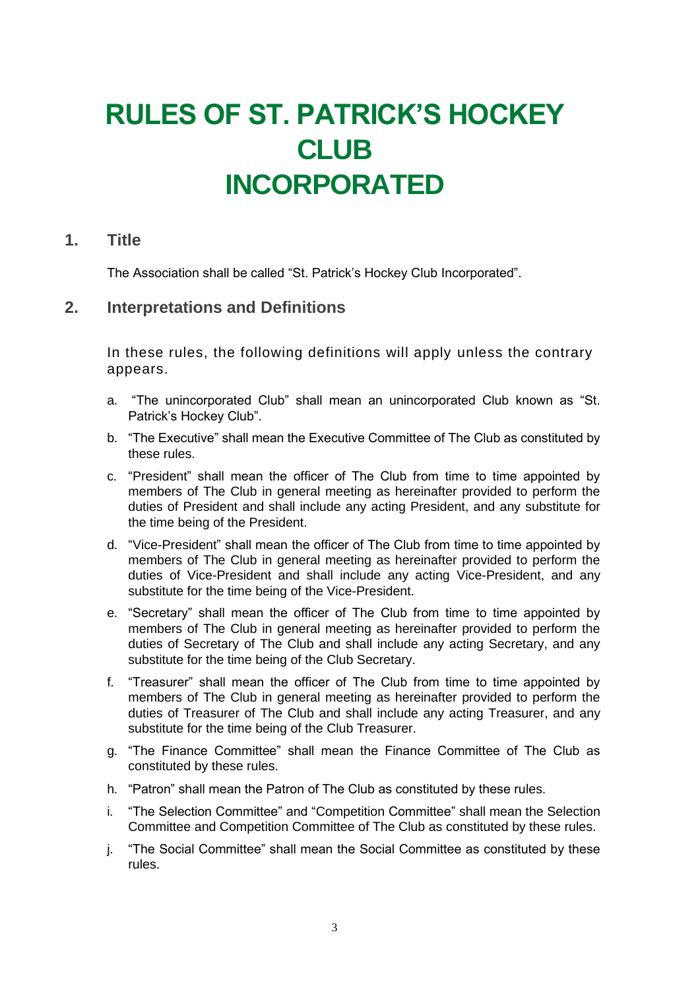# **RULES OF ST. PATRICK'S HOCKEY CLUB INCORPORATED**

# **1. Title**

The Association shall be called "St. Patrick's Hockey Club Incorporated".

# **2. Interpretations and Definitions**

In these rules, the following definitions will apply unless the contrary appears.

- a. "The unincorporated Club" shall mean an unincorporated Club known as "St. Patrick's Hockey Club".
- b. "The Executive" shall mean the Executive Committee of The Club as constituted by these rules.
- c. "President" shall mean the officer of The Club from time to time appointed by members of The Club in general meeting as hereinafter provided to perform the duties of President and shall include any acting President, and any substitute for the time being of the President.
- d. "Vice-President" shall mean the officer of The Club from time to time appointed by members of The Club in general meeting as hereinafter provided to perform the duties of Vice-President and shall include any acting Vice-President, and any substitute for the time being of the Vice-President.
- e. "Secretary" shall mean the officer of The Club from time to time appointed by members of The Club in general meeting as hereinafter provided to perform the duties of Secretary of The Club and shall include any acting Secretary, and any substitute for the time being of the Club Secretary.
- f. "Treasurer" shall mean the officer of The Club from time to time appointed by members of The Club in general meeting as hereinafter provided to perform the duties of Treasurer of The Club and shall include any acting Treasurer, and any substitute for the time being of the Club Treasurer.
- g. "The Finance Committee" shall mean the Finance Committee of The Club as constituted by these rules.
- h. "Patron" shall mean the Patron of The Club as constituted by these rules.
- i. "The Selection Committee" and "Competition Committee" shall mean the Selection Committee and Competition Committee of The Club as constituted by these rules.
- j. "The Social Committee" shall mean the Social Committee as constituted by these rules.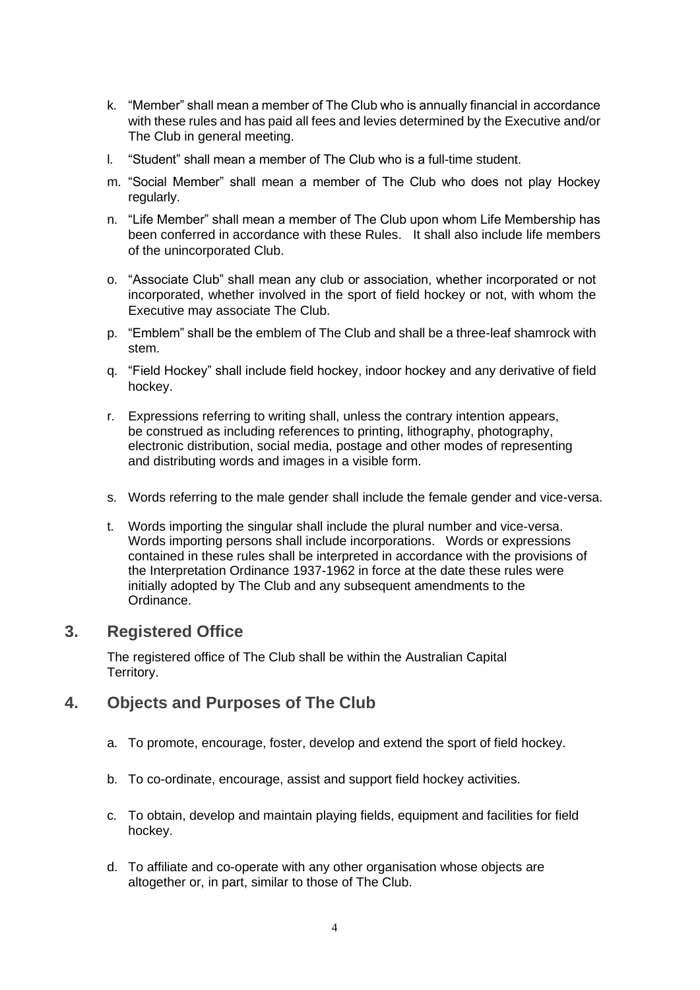- k. "Member" shall mean a member of The Club who is annually financial in accordance with these rules and has paid all fees and levies determined by the Executive and/or The Club in general meeting.
- l. "Student" shall mean a member of The Club who is a full-time student.
- m. "Social Member" shall mean a member of The Club who does not play Hockey regularly.
- n. "Life Member" shall mean a member of The Club upon whom Life Membership has been conferred in accordance with these Rules. It shall also include life members of the unincorporated Club.
- o. "Associate Club" shall mean any club or association, whether incorporated or not incorporated, whether involved in the sport of field hockey or not, with whom the Executive may associate The Club.
- p. "Emblem" shall be the emblem of The Club and shall be a three-leaf shamrock with stem.
- q. "Field Hockey" shall include field hockey, indoor hockey and any derivative of field hockey.
- r. Expressions referring to writing shall, unless the contrary intention appears, be construed as including references to printing, lithography, photography, electronic distribution, social media, postage and other modes of representing and distributing words and images in a visible form.
- s. Words referring to the male gender shall include the female gender and vice-versa.
- t. Words importing the singular shall include the plural number and vice-versa. Words importing persons shall include incorporations. Words or expressions contained in these rules shall be interpreted in accordance with the provisions of the Interpretation Ordinance 1937-1962 in force at the date these rules were initially adopted by The Club and any subsequent amendments to the Ordinance.

# **3. Registered Office**

The registered office of The Club shall be within the Australian Capital Territory.

# **4. Objects and Purposes of The Club**

- a. To promote, encourage, foster, develop and extend the sport of field hockey.
- b. To co-ordinate, encourage, assist and support field hockey activities.
- c. To obtain, develop and maintain playing fields, equipment and facilities for field hockey.
- d. To affiliate and co-operate with any other organisation whose objects are altogether or, in part, similar to those of The Club.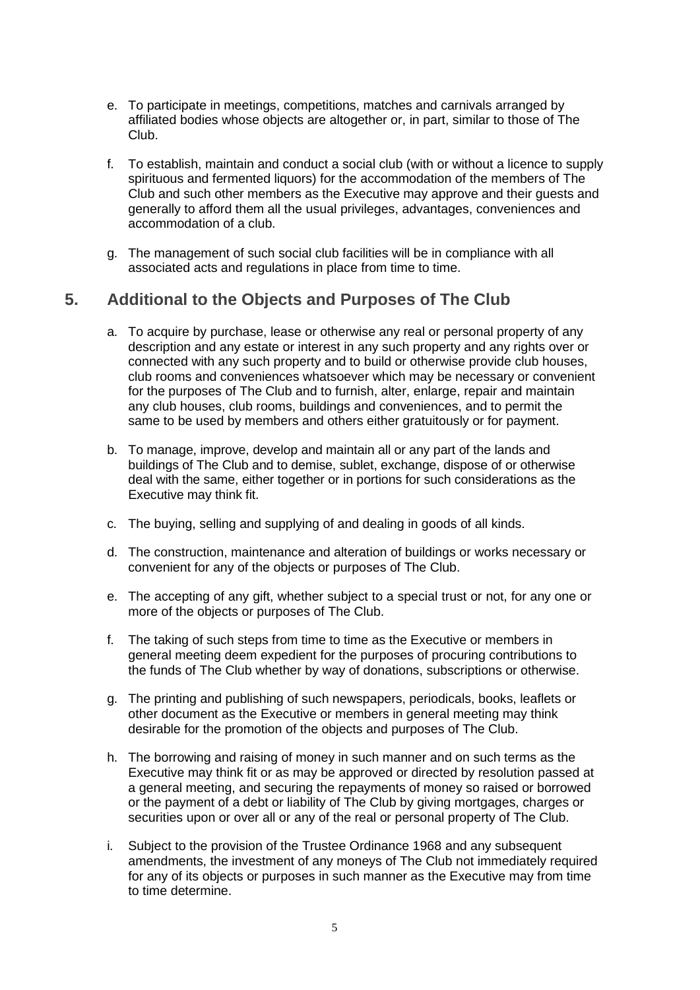- e. To participate in meetings, competitions, matches and carnivals arranged by affiliated bodies whose objects are altogether or, in part, similar to those of The Club.
- f. To establish, maintain and conduct a social club (with or without a licence to supply spirituous and fermented liquors) for the accommodation of the members of The Club and such other members as the Executive may approve and their guests and generally to afford them all the usual privileges, advantages, conveniences and accommodation of a club.
- g. The management of such social club facilities will be in compliance with all associated acts and regulations in place from time to time.

# **5. Additional to the Objects and Purposes of The Club**

- a. To acquire by purchase, lease or otherwise any real or personal property of any description and any estate or interest in any such property and any rights over or connected with any such property and to build or otherwise provide club houses, club rooms and conveniences whatsoever which may be necessary or convenient for the purposes of The Club and to furnish, alter, enlarge, repair and maintain any club houses, club rooms, buildings and conveniences, and to permit the same to be used by members and others either gratuitously or for payment.
- b. To manage, improve, develop and maintain all or any part of the lands and buildings of The Club and to demise, sublet, exchange, dispose of or otherwise deal with the same, either together or in portions for such considerations as the Executive may think fit.
- c. The buying, selling and supplying of and dealing in goods of all kinds.
- d. The construction, maintenance and alteration of buildings or works necessary or convenient for any of the objects or purposes of The Club.
- e. The accepting of any gift, whether subject to a special trust or not, for any one or more of the objects or purposes of The Club.
- f. The taking of such steps from time to time as the Executive or members in general meeting deem expedient for the purposes of procuring contributions to the funds of The Club whether by way of donations, subscriptions or otherwise.
- g. The printing and publishing of such newspapers, periodicals, books, leaflets or other document as the Executive or members in general meeting may think desirable for the promotion of the objects and purposes of The Club.
- h. The borrowing and raising of money in such manner and on such terms as the Executive may think fit or as may be approved or directed by resolution passed at a general meeting, and securing the repayments of money so raised or borrowed or the payment of a debt or liability of The Club by giving mortgages, charges or securities upon or over all or any of the real or personal property of The Club.
- i. Subject to the provision of the Trustee Ordinance 1968 and any subsequent amendments, the investment of any moneys of The Club not immediately required for any of its objects or purposes in such manner as the Executive may from time to time determine.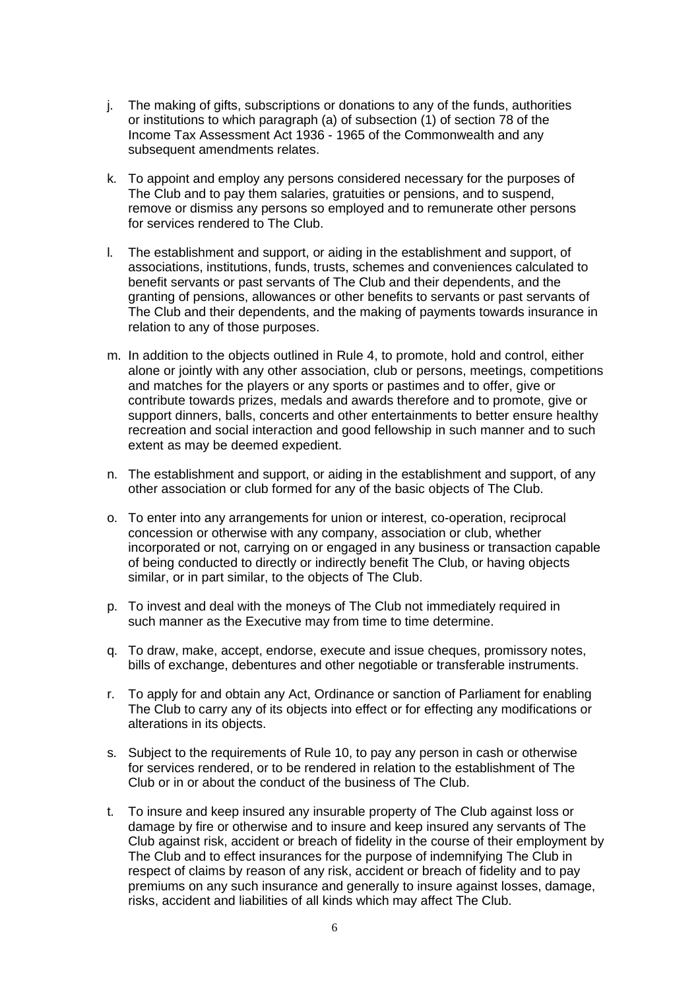- j. The making of gifts, subscriptions or donations to any of the funds, authorities or institutions to which paragraph (a) of subsection (1) of section 78 of the Income Tax Assessment Act 1936 - 1965 of the Commonwealth and any subsequent amendments relates.
- k. To appoint and employ any persons considered necessary for the purposes of The Club and to pay them salaries, gratuities or pensions, and to suspend, remove or dismiss any persons so employed and to remunerate other persons for services rendered to The Club.
- l. The establishment and support, or aiding in the establishment and support, of associations, institutions, funds, trusts, schemes and conveniences calculated to benefit servants or past servants of The Club and their dependents, and the granting of pensions, allowances or other benefits to servants or past servants of The Club and their dependents, and the making of payments towards insurance in relation to any of those purposes.
- m. In addition to the objects outlined in Rule 4, to promote, hold and control, either alone or jointly with any other association, club or persons, meetings, competitions and matches for the players or any sports or pastimes and to offer, give or contribute towards prizes, medals and awards therefore and to promote, give or support dinners, balls, concerts and other entertainments to better ensure healthy recreation and social interaction and good fellowship in such manner and to such extent as may be deemed expedient.
- n. The establishment and support, or aiding in the establishment and support, of any other association or club formed for any of the basic objects of The Club.
- o. To enter into any arrangements for union or interest, co-operation, reciprocal concession or otherwise with any company, association or club, whether incorporated or not, carrying on or engaged in any business or transaction capable of being conducted to directly or indirectly benefit The Club, or having objects similar, or in part similar, to the objects of The Club.
- p. To invest and deal with the moneys of The Club not immediately required in such manner as the Executive may from time to time determine.
- q. To draw, make, accept, endorse, execute and issue cheques, promissory notes, bills of exchange, debentures and other negotiable or transferable instruments.
- r. To apply for and obtain any Act, Ordinance or sanction of Parliament for enabling The Club to carry any of its objects into effect or for effecting any modifications or alterations in its objects.
- s. Subject to the requirements of Rule 10, to pay any person in cash or otherwise for services rendered, or to be rendered in relation to the establishment of The Club or in or about the conduct of the business of The Club.
- t. To insure and keep insured any insurable property of The Club against loss or damage by fire or otherwise and to insure and keep insured any servants of The Club against risk, accident or breach of fidelity in the course of their employment by The Club and to effect insurances for the purpose of indemnifying The Club in respect of claims by reason of any risk, accident or breach of fidelity and to pay premiums on any such insurance and generally to insure against losses, damage, risks, accident and liabilities of all kinds which may affect The Club.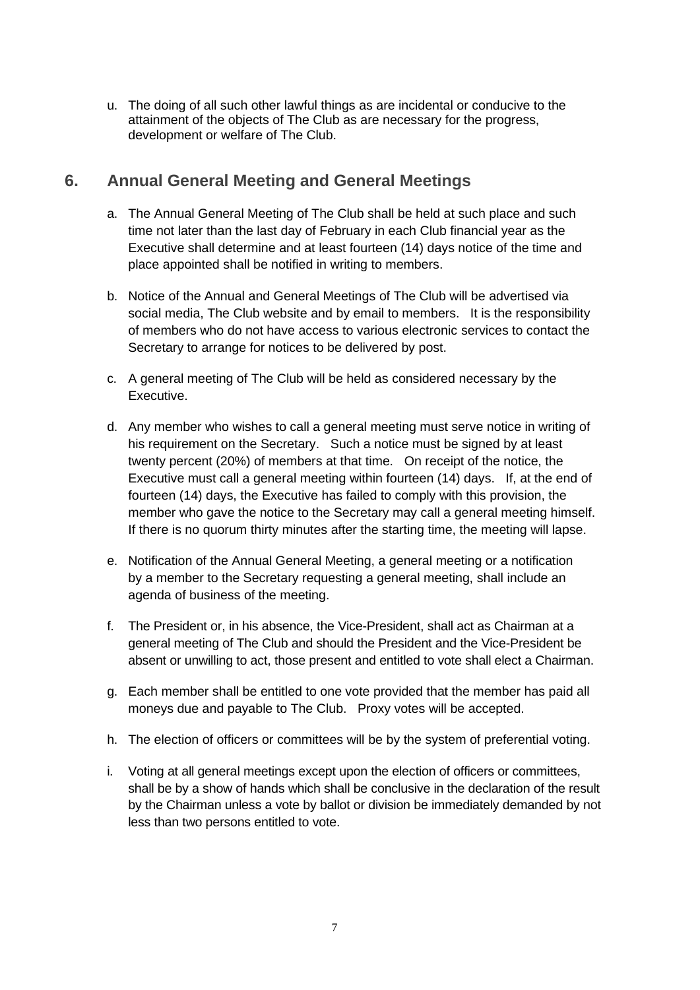u. The doing of all such other lawful things as are incidental or conducive to the attainment of the objects of The Club as are necessary for the progress, development or welfare of The Club.

# **6. Annual General Meeting and General Meetings**

- a. The Annual General Meeting of The Club shall be held at such place and such time not later than the last day of February in each Club financial year as the Executive shall determine and at least fourteen (14) days notice of the time and place appointed shall be notified in writing to members.
- b. Notice of the Annual and General Meetings of The Club will be advertised via social media, The Club website and by email to members. It is the responsibility of members who do not have access to various electronic services to contact the Secretary to arrange for notices to be delivered by post.
- c. A general meeting of The Club will be held as considered necessary by the Executive.
- d. Any member who wishes to call a general meeting must serve notice in writing of his requirement on the Secretary. Such a notice must be signed by at least twenty percent (20%) of members at that time. On receipt of the notice, the Executive must call a general meeting within fourteen (14) days. If, at the end of fourteen (14) days, the Executive has failed to comply with this provision, the member who gave the notice to the Secretary may call a general meeting himself. If there is no quorum thirty minutes after the starting time, the meeting will lapse.
- e. Notification of the Annual General Meeting, a general meeting or a notification by a member to the Secretary requesting a general meeting, shall include an agenda of business of the meeting.
- f. The President or, in his absence, the Vice-President, shall act as Chairman at a general meeting of The Club and should the President and the Vice-President be absent or unwilling to act, those present and entitled to vote shall elect a Chairman.
- g. Each member shall be entitled to one vote provided that the member has paid all moneys due and payable to The Club. Proxy votes will be accepted.
- h. The election of officers or committees will be by the system of preferential voting.
- i. Voting at all general meetings except upon the election of officers or committees, shall be by a show of hands which shall be conclusive in the declaration of the result by the Chairman unless a vote by ballot or division be immediately demanded by not less than two persons entitled to vote.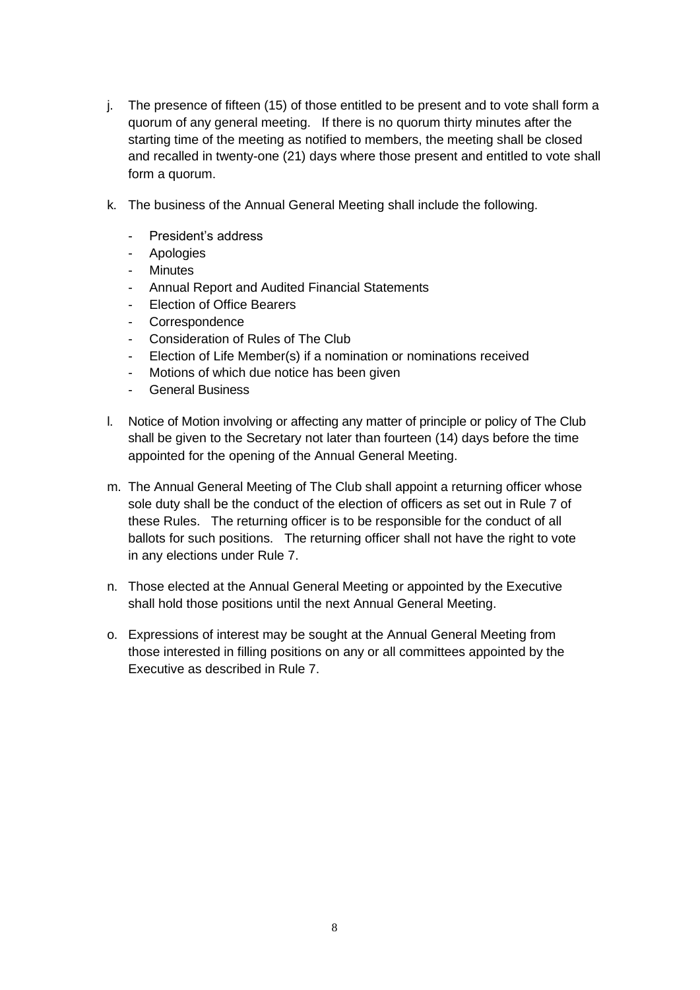- j. The presence of fifteen (15) of those entitled to be present and to vote shall form a quorum of any general meeting. If there is no quorum thirty minutes after the starting time of the meeting as notified to members, the meeting shall be closed and recalled in twenty-one (21) days where those present and entitled to vote shall form a quorum.
- k. The business of the Annual General Meeting shall include the following.
	- President's address
	- Apologies
	- **Minutes**
	- Annual Report and Audited Financial Statements
	- Election of Office Bearers
	- Correspondence
	- Consideration of Rules of The Club
	- Election of Life Member(s) if a nomination or nominations received
	- Motions of which due notice has been given
	- General Business
- l. Notice of Motion involving or affecting any matter of principle or policy of The Club shall be given to the Secretary not later than fourteen (14) days before the time appointed for the opening of the Annual General Meeting.
- m. The Annual General Meeting of The Club shall appoint a returning officer whose sole duty shall be the conduct of the election of officers as set out in Rule 7 of these Rules. The returning officer is to be responsible for the conduct of all ballots for such positions. The returning officer shall not have the right to vote in any elections under Rule 7.
- n. Those elected at the Annual General Meeting or appointed by the Executive shall hold those positions until the next Annual General Meeting.
- o. Expressions of interest may be sought at the Annual General Meeting from those interested in filling positions on any or all committees appointed by the Executive as described in Rule 7.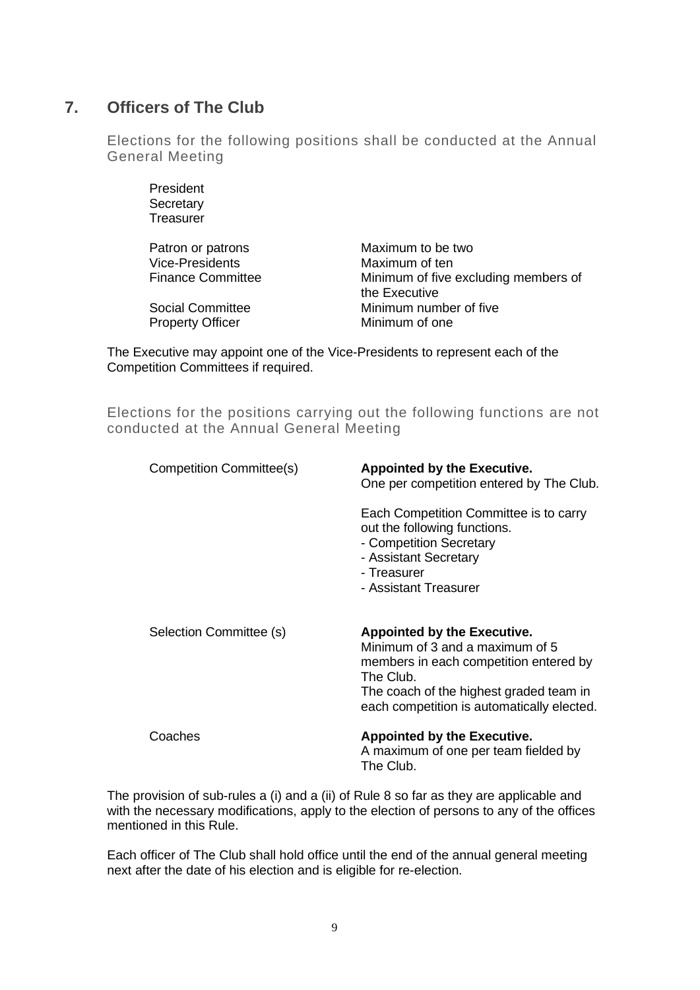# **7. Officers of The Club**

President **Secretary** 

Elections for the following positions shall be conducted at the Annual General Meeting

| Maximum to be two                                     |
|-------------------------------------------------------|
| Maximum of ten                                        |
| Minimum of five excluding members of<br>the Executive |
| Minimum number of five                                |
| Minimum of one                                        |
|                                                       |

The Executive may appoint one of the Vice-Presidents to represent each of the Competition Committees if required.

Elections for the positions carrying out the following functions are not conducted at the Annual General Meeting

| Competition Committee(s) | <b>Appointed by the Executive.</b><br>One per competition entered by The Club.                                                                                                                                        |
|--------------------------|-----------------------------------------------------------------------------------------------------------------------------------------------------------------------------------------------------------------------|
|                          | Each Competition Committee is to carry<br>out the following functions.<br>- Competition Secretary<br>- Assistant Secretary<br>- Treasurer<br>- Assistant Treasurer                                                    |
| Selection Committee (s)  | <b>Appointed by the Executive.</b><br>Minimum of 3 and a maximum of 5<br>members in each competition entered by<br>The Club.<br>The coach of the highest graded team in<br>each competition is automatically elected. |
| Coaches                  | <b>Appointed by the Executive.</b><br>A maximum of one per team fielded by<br>The Club.                                                                                                                               |

The provision of sub-rules a (i) and a (ii) of Rule 8 so far as they are applicable and with the necessary modifications, apply to the election of persons to any of the offices mentioned in this Rule.

Each officer of The Club shall hold office until the end of the annual general meeting next after the date of his election and is eligible for re-election.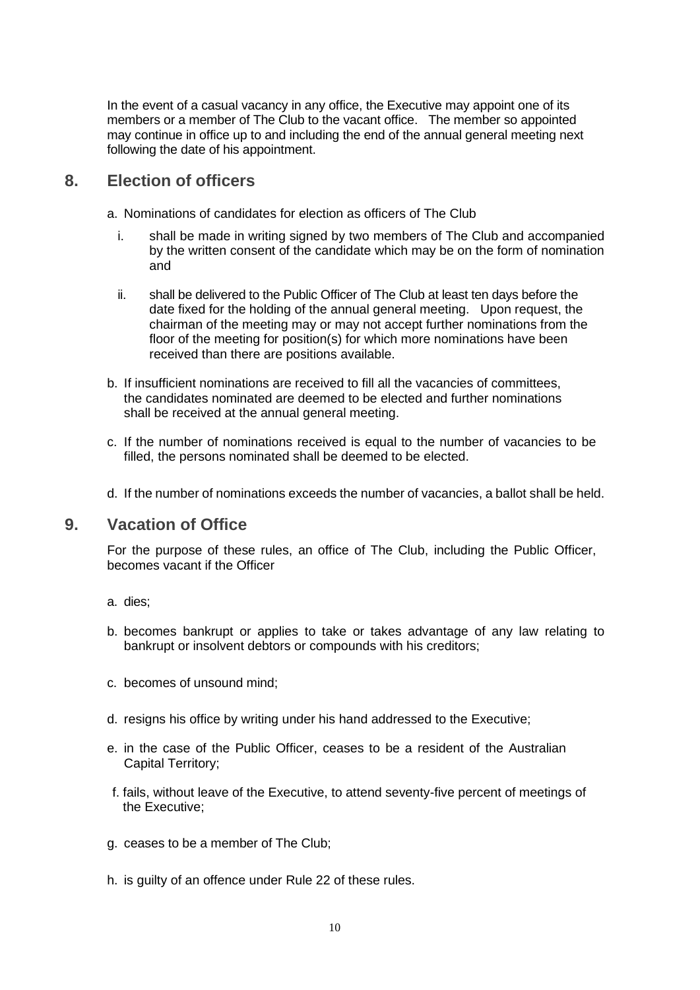In the event of a casual vacancy in any office, the Executive may appoint one of its members or a member of The Club to the vacant office. The member so appointed may continue in office up to and including the end of the annual general meeting next following the date of his appointment.

# **8. Election of officers**

- a. Nominations of candidates for election as officers of The Club
	- i. shall be made in writing signed by two members of The Club and accompanied by the written consent of the candidate which may be on the form of nomination and
	- ii. shall be delivered to the Public Officer of The Club at least ten days before the date fixed for the holding of the annual general meeting. Upon request, the chairman of the meeting may or may not accept further nominations from the floor of the meeting for position(s) for which more nominations have been received than there are positions available.
- b. If insufficient nominations are received to fill all the vacancies of committees, the candidates nominated are deemed to be elected and further nominations shall be received at the annual general meeting.
- c. If the number of nominations received is equal to the number of vacancies to be filled, the persons nominated shall be deemed to be elected.
- d. If the number of nominations exceeds the number of vacancies, a ballot shall be held.

# **9. Vacation of Office**

For the purpose of these rules, an office of The Club, including the Public Officer, becomes vacant if the Officer

- a. dies;
- b. becomes bankrupt or applies to take or takes advantage of any law relating to bankrupt or insolvent debtors or compounds with his creditors;
- c. becomes of unsound mind;
- d. resigns his office by writing under his hand addressed to the Executive;
- e. in the case of the Public Officer, ceases to be a resident of the Australian Capital Territory;
- f. fails, without leave of the Executive, to attend seventy-five percent of meetings of the Executive;
- g. ceases to be a member of The Club;
- h. is guilty of an offence under Rule 22 of these rules.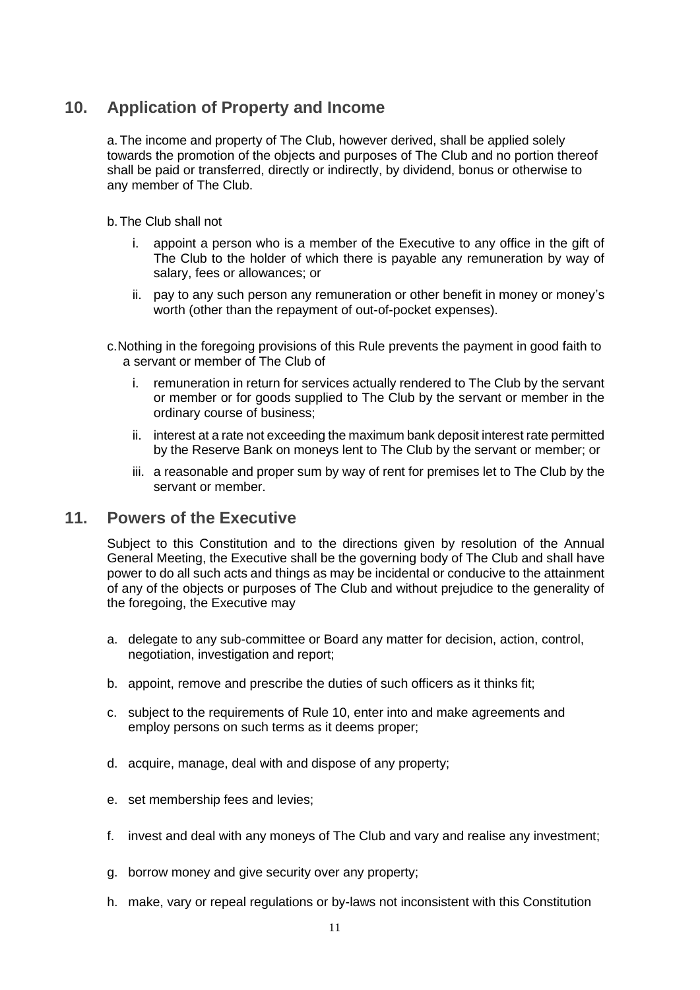# **10. Application of Property and Income**

a.The income and property of The Club, however derived, shall be applied solely towards the promotion of the objects and purposes of The Club and no portion thereof shall be paid or transferred, directly or indirectly, by dividend, bonus or otherwise to any member of The Club.

#### b. The Club shall not

- i. appoint a person who is a member of the Executive to any office in the gift of The Club to the holder of which there is payable any remuneration by way of salary, fees or allowances; or
- ii. pay to any such person any remuneration or other benefit in money or money's worth (other than the repayment of out-of-pocket expenses).
- c.Nothing in the foregoing provisions of this Rule prevents the payment in good faith to a servant or member of The Club of
	- remuneration in return for services actually rendered to The Club by the servant or member or for goods supplied to The Club by the servant or member in the ordinary course of business;
	- ii. interest at a rate not exceeding the maximum bank deposit interest rate permitted by the Reserve Bank on moneys lent to The Club by the servant or member; or
	- iii. a reasonable and proper sum by way of rent for premises let to The Club by the servant or member.

# **11. Powers of the Executive**

Subject to this Constitution and to the directions given by resolution of the Annual General Meeting, the Executive shall be the governing body of The Club and shall have power to do all such acts and things as may be incidental or conducive to the attainment of any of the objects or purposes of The Club and without prejudice to the generality of the foregoing, the Executive may

- a. delegate to any sub-committee or Board any matter for decision, action, control, negotiation, investigation and report;
- b. appoint, remove and prescribe the duties of such officers as it thinks fit;
- c. subject to the requirements of Rule 10, enter into and make agreements and employ persons on such terms as it deems proper;
- d. acquire, manage, deal with and dispose of any property;
- e. set membership fees and levies;
- f. invest and deal with any moneys of The Club and vary and realise any investment;
- g. borrow money and give security over any property;
- h. make, vary or repeal regulations or by-laws not inconsistent with this Constitution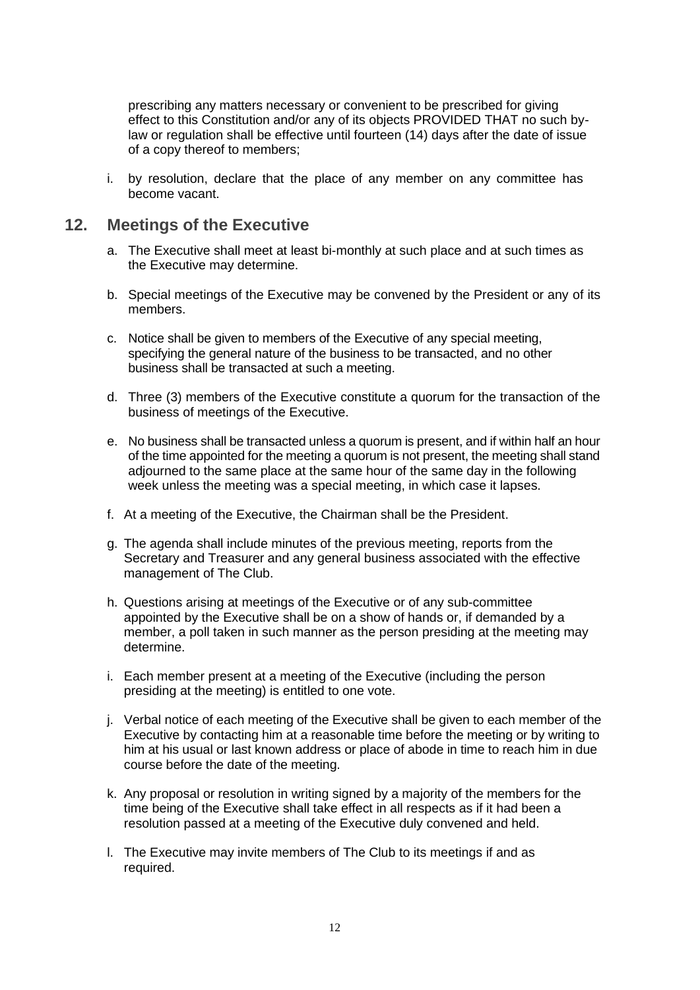prescribing any matters necessary or convenient to be prescribed for giving effect to this Constitution and/or any of its objects PROVIDED THAT no such bylaw or regulation shall be effective until fourteen (14) days after the date of issue of a copy thereof to members;

i. by resolution, declare that the place of any member on any committee has become vacant.

# **12. Meetings of the Executive**

- a. The Executive shall meet at least bi-monthly at such place and at such times as the Executive may determine.
- b. Special meetings of the Executive may be convened by the President or any of its members.
- c. Notice shall be given to members of the Executive of any special meeting, specifying the general nature of the business to be transacted, and no other business shall be transacted at such a meeting.
- d. Three (3) members of the Executive constitute a quorum for the transaction of the business of meetings of the Executive.
- e. No business shall be transacted unless a quorum is present, and if within half an hour of the time appointed for the meeting a quorum is not present, the meeting shall stand adjourned to the same place at the same hour of the same day in the following week unless the meeting was a special meeting, in which case it lapses.
- f. At a meeting of the Executive, the Chairman shall be the President.
- g. The agenda shall include minutes of the previous meeting, reports from the Secretary and Treasurer and any general business associated with the effective management of The Club.
- h. Questions arising at meetings of the Executive or of any sub-committee appointed by the Executive shall be on a show of hands or, if demanded by a member, a poll taken in such manner as the person presiding at the meeting may determine.
- i. Each member present at a meeting of the Executive (including the person presiding at the meeting) is entitled to one vote.
- j. Verbal notice of each meeting of the Executive shall be given to each member of the Executive by contacting him at a reasonable time before the meeting or by writing to him at his usual or last known address or place of abode in time to reach him in due course before the date of the meeting.
- k. Any proposal or resolution in writing signed by a majority of the members for the time being of the Executive shall take effect in all respects as if it had been a resolution passed at a meeting of the Executive duly convened and held.
- l. The Executive may invite members of The Club to its meetings if and as required.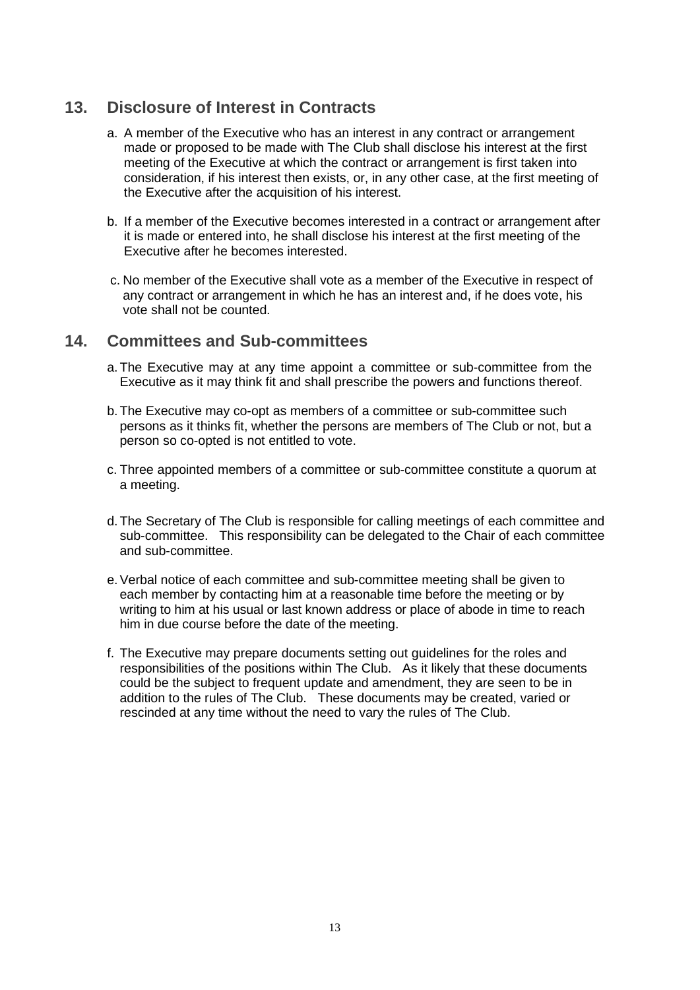# **13. Disclosure of Interest in Contracts**

- a. A member of the Executive who has an interest in any contract or arrangement made or proposed to be made with The Club shall disclose his interest at the first meeting of the Executive at which the contract or arrangement is first taken into consideration, if his interest then exists, or, in any other case, at the first meeting of the Executive after the acquisition of his interest.
- b. If a member of the Executive becomes interested in a contract or arrangement after it is made or entered into, he shall disclose his interest at the first meeting of the Executive after he becomes interested.
- c. No member of the Executive shall vote as a member of the Executive in respect of any contract or arrangement in which he has an interest and, if he does vote, his vote shall not be counted.

# **14. Committees and Sub-committees**

- a.The Executive may at any time appoint a committee or sub-committee from the Executive as it may think fit and shall prescribe the powers and functions thereof.
- b.The Executive may co-opt as members of a committee or sub-committee such persons as it thinks fit, whether the persons are members of The Club or not, but a person so co-opted is not entitled to vote.
- c. Three appointed members of a committee or sub-committee constitute a quorum at a meeting.
- d.The Secretary of The Club is responsible for calling meetings of each committee and sub-committee. This responsibility can be delegated to the Chair of each committee and sub-committee.
- e.Verbal notice of each committee and sub-committee meeting shall be given to each member by contacting him at a reasonable time before the meeting or by writing to him at his usual or last known address or place of abode in time to reach him in due course before the date of the meeting.
- f. The Executive may prepare documents setting out guidelines for the roles and responsibilities of the positions within The Club. As it likely that these documents could be the subject to frequent update and amendment, they are seen to be in addition to the rules of The Club. These documents may be created, varied or rescinded at any time without the need to vary the rules of The Club.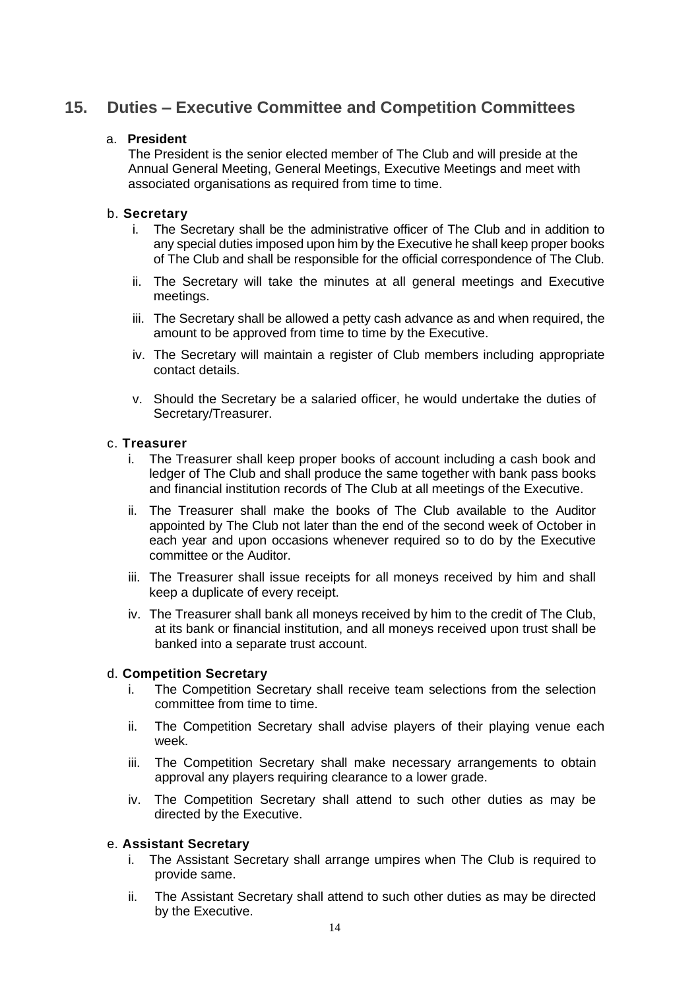# **15. Duties – Executive Committee and Competition Committees**

#### a. **President**

The President is the senior elected member of The Club and will preside at the Annual General Meeting, General Meetings, Executive Meetings and meet with associated organisations as required from time to time.

#### b. **Secretary**

- i. The Secretary shall be the administrative officer of The Club and in addition to any special duties imposed upon him by the Executive he shall keep proper books of The Club and shall be responsible for the official correspondence of The Club.
- ii. The Secretary will take the minutes at all general meetings and Executive meetings.
- iii. The Secretary shall be allowed a petty cash advance as and when required, the amount to be approved from time to time by the Executive.
- iv. The Secretary will maintain a register of Club members including appropriate contact details.
- v. Should the Secretary be a salaried officer, he would undertake the duties of Secretary/Treasurer.

#### c. **Treasurer**

- i. The Treasurer shall keep proper books of account including a cash book and ledger of The Club and shall produce the same together with bank pass books and financial institution records of The Club at all meetings of the Executive.
- ii. The Treasurer shall make the books of The Club available to the Auditor appointed by The Club not later than the end of the second week of October in each year and upon occasions whenever required so to do by the Executive committee or the Auditor.
- iii. The Treasurer shall issue receipts for all moneys received by him and shall keep a duplicate of every receipt.
- iv. The Treasurer shall bank all moneys received by him to the credit of The Club, at its bank or financial institution, and all moneys received upon trust shall be banked into a separate trust account.

#### d. **Competition Secretary**

- i. The Competition Secretary shall receive team selections from the selection committee from time to time.
- ii. The Competition Secretary shall advise players of their playing venue each week.
- iii. The Competition Secretary shall make necessary arrangements to obtain approval any players requiring clearance to a lower grade.
- iv. The Competition Secretary shall attend to such other duties as may be directed by the Executive.

#### e. **Assistant Secretary**

- i. The Assistant Secretary shall arrange umpires when The Club is required to provide same.
- ii. The Assistant Secretary shall attend to such other duties as may be directed by the Executive.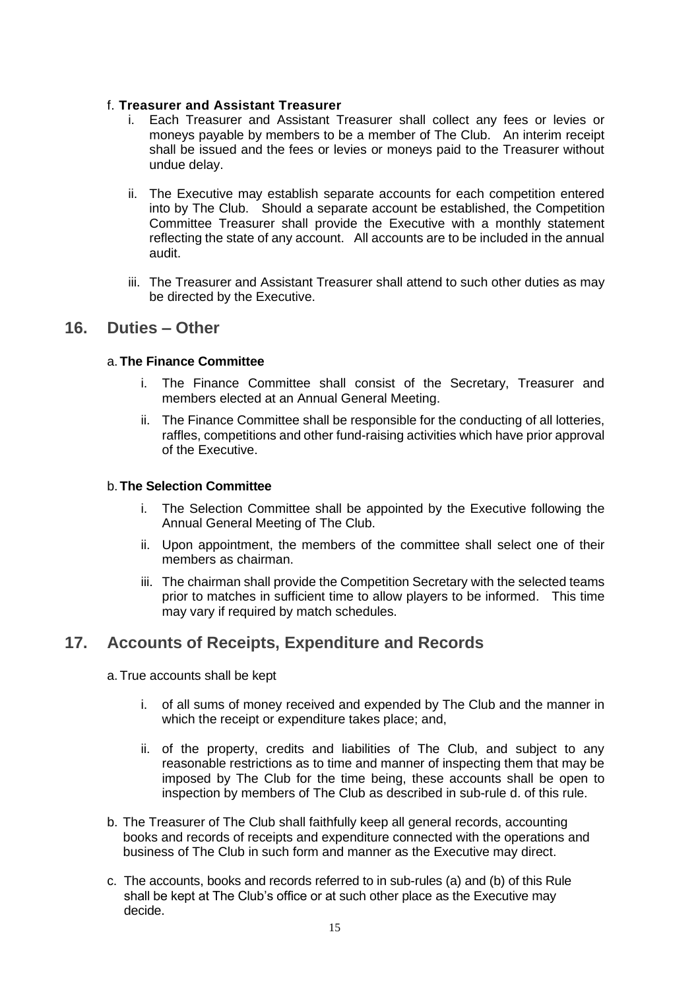#### f. **Treasurer and Assistant Treasurer**

- Each Treasurer and Assistant Treasurer shall collect any fees or levies or moneys payable by members to be a member of The Club. An interim receipt shall be issued and the fees or levies or moneys paid to the Treasurer without undue delay.
- ii. The Executive may establish separate accounts for each competition entered into by The Club. Should a separate account be established, the Competition Committee Treasurer shall provide the Executive with a monthly statement reflecting the state of any account. All accounts are to be included in the annual audit.
- iii. The Treasurer and Assistant Treasurer shall attend to such other duties as may be directed by the Executive.

## **16. Duties – Other**

#### a.**The Finance Committee**

- i. The Finance Committee shall consist of the Secretary, Treasurer and members elected at an Annual General Meeting.
- ii. The Finance Committee shall be responsible for the conducting of all lotteries, raffles, competitions and other fund-raising activities which have prior approval of the Executive.

#### b. **The Selection Committee**

- i. The Selection Committee shall be appointed by the Executive following the Annual General Meeting of The Club.
- ii. Upon appointment, the members of the committee shall select one of their members as chairman.
- iii. The chairman shall provide the Competition Secretary with the selected teams prior to matches in sufficient time to allow players to be informed. This time may vary if required by match schedules.

# **17. Accounts of Receipts, Expenditure and Records**

a.True accounts shall be kept

- i. of all sums of money received and expended by The Club and the manner in which the receipt or expenditure takes place; and,
- ii. of the property, credits and liabilities of The Club, and subject to any reasonable restrictions as to time and manner of inspecting them that may be imposed by The Club for the time being, these accounts shall be open to inspection by members of The Club as described in sub-rule d. of this rule.
- b. The Treasurer of The Club shall faithfully keep all general records, accounting books and records of receipts and expenditure connected with the operations and business of The Club in such form and manner as the Executive may direct.
- c. The accounts, books and records referred to in sub-rules (a) and (b) of this Rule shall be kept at The Club's office or at such other place as the Executive may decide.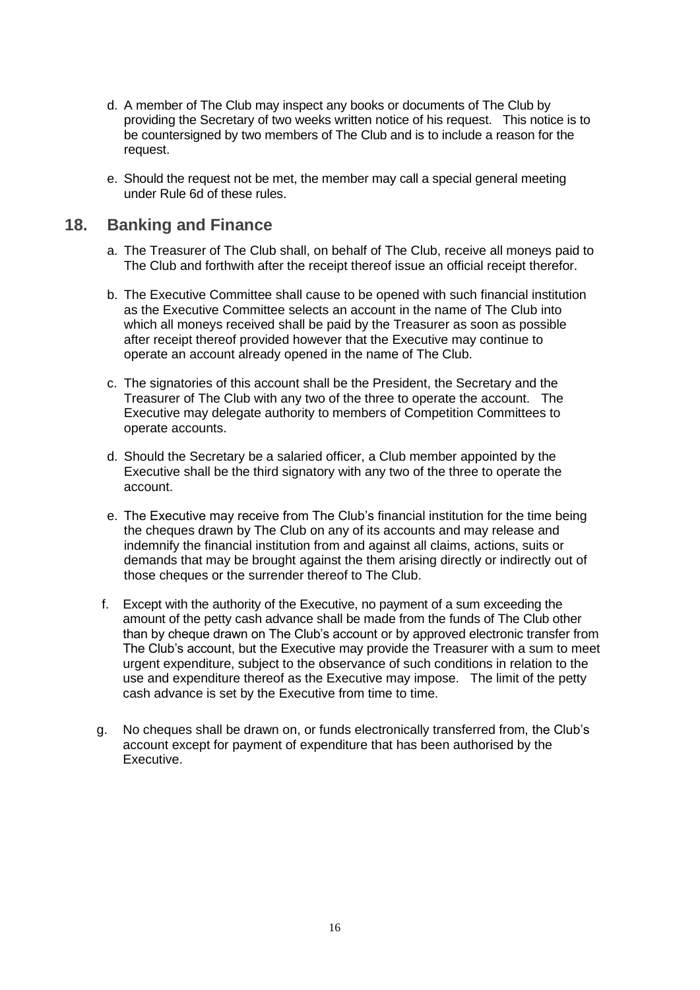- d. A member of The Club may inspect any books or documents of The Club by providing the Secretary of two weeks written notice of his request. This notice is to be countersigned by two members of The Club and is to include a reason for the request.
- e. Should the request not be met, the member may call a special general meeting under Rule 6d of these rules.

# **18. Banking and Finance**

- a. The Treasurer of The Club shall, on behalf of The Club, receive all moneys paid to The Club and forthwith after the receipt thereof issue an official receipt therefor.
- b. The Executive Committee shall cause to be opened with such financial institution as the Executive Committee selects an account in the name of The Club into which all moneys received shall be paid by the Treasurer as soon as possible after receipt thereof provided however that the Executive may continue to operate an account already opened in the name of The Club.
- c. The signatories of this account shall be the President, the Secretary and the Treasurer of The Club with any two of the three to operate the account. The Executive may delegate authority to members of Competition Committees to operate accounts.
- d. Should the Secretary be a salaried officer, a Club member appointed by the Executive shall be the third signatory with any two of the three to operate the account.
- e. The Executive may receive from The Club's financial institution for the time being the cheques drawn by The Club on any of its accounts and may release and indemnify the financial institution from and against all claims, actions, suits or demands that may be brought against the them arising directly or indirectly out of those cheques or the surrender thereof to The Club.
- f. Except with the authority of the Executive, no payment of a sum exceeding the amount of the petty cash advance shall be made from the funds of The Club other than by cheque drawn on The Club's account or by approved electronic transfer from The Club's account, but the Executive may provide the Treasurer with a sum to meet urgent expenditure, subject to the observance of such conditions in relation to the use and expenditure thereof as the Executive may impose. The limit of the petty cash advance is set by the Executive from time to time.
- g. No cheques shall be drawn on, or funds electronically transferred from, the Club's account except for payment of expenditure that has been authorised by the Executive.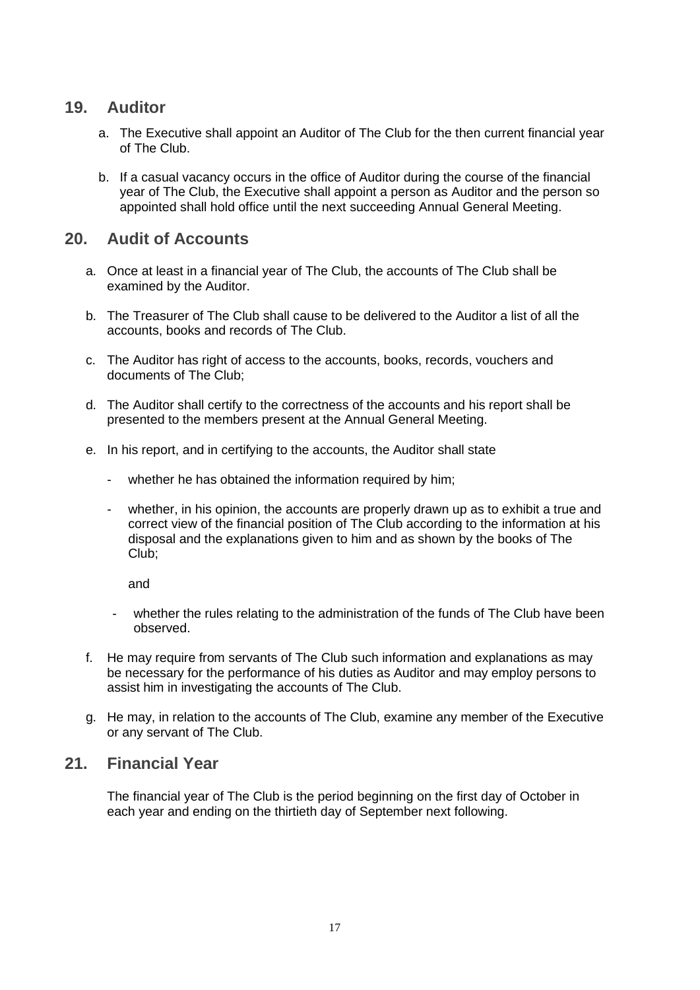# **19. Auditor**

- a. The Executive shall appoint an Auditor of The Club for the then current financial year of The Club.
- b. If a casual vacancy occurs in the office of Auditor during the course of the financial year of The Club, the Executive shall appoint a person as Auditor and the person so appointed shall hold office until the next succeeding Annual General Meeting.

# **20. Audit of Accounts**

- a. Once at least in a financial year of The Club, the accounts of The Club shall be examined by the Auditor.
- b. The Treasurer of The Club shall cause to be delivered to the Auditor a list of all the accounts, books and records of The Club.
- c. The Auditor has right of access to the accounts, books, records, vouchers and documents of The Club;
- d. The Auditor shall certify to the correctness of the accounts and his report shall be presented to the members present at the Annual General Meeting.
- e. In his report, and in certifying to the accounts, the Auditor shall state
	- whether he has obtained the information required by him;
	- whether, in his opinion, the accounts are properly drawn up as to exhibit a true and correct view of the financial position of The Club according to the information at his disposal and the explanations given to him and as shown by the books of The Club;

and

- whether the rules relating to the administration of the funds of The Club have been observed.
- f. He may require from servants of The Club such information and explanations as may be necessary for the performance of his duties as Auditor and may employ persons to assist him in investigating the accounts of The Club.
- g. He may, in relation to the accounts of The Club, examine any member of the Executive or any servant of The Club.

# **21. Financial Year**

The financial year of The Club is the period beginning on the first day of October in each year and ending on the thirtieth day of September next following.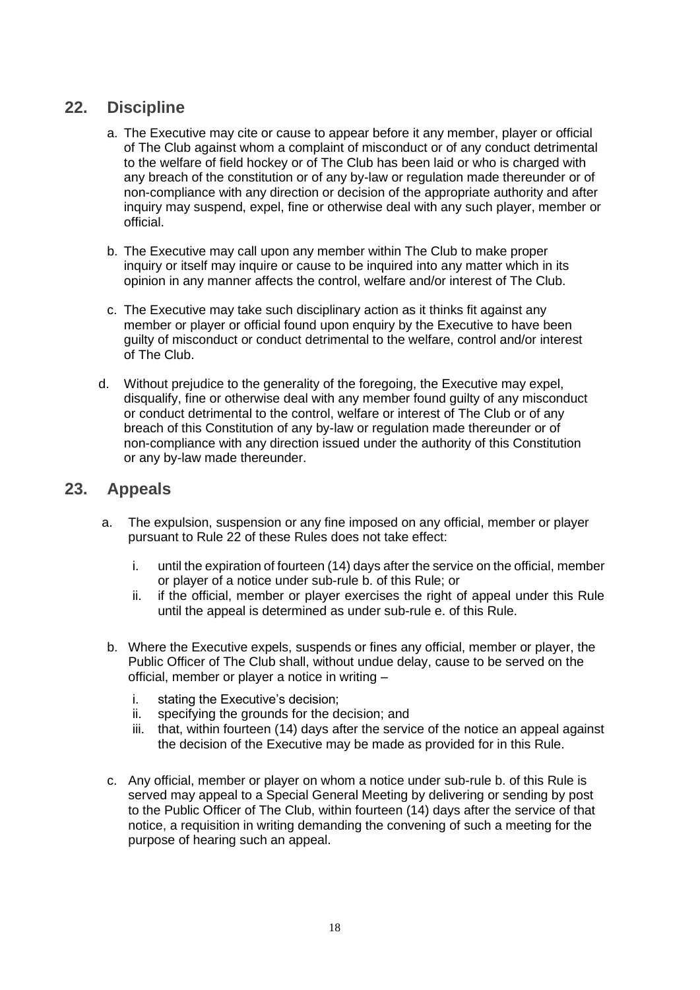# **22. Discipline**

- a. The Executive may cite or cause to appear before it any member, player or official of The Club against whom a complaint of misconduct or of any conduct detrimental to the welfare of field hockey or of The Club has been laid or who is charged with any breach of the constitution or of any by-law or regulation made thereunder or of non-compliance with any direction or decision of the appropriate authority and after inquiry may suspend, expel, fine or otherwise deal with any such player, member or official.
- b. The Executive may call upon any member within The Club to make proper inquiry or itself may inquire or cause to be inquired into any matter which in its opinion in any manner affects the control, welfare and/or interest of The Club.
- c. The Executive may take such disciplinary action as it thinks fit against any member or player or official found upon enquiry by the Executive to have been guilty of misconduct or conduct detrimental to the welfare, control and/or interest of The Club.
- d. Without prejudice to the generality of the foregoing, the Executive may expel, disqualify, fine or otherwise deal with any member found guilty of any misconduct or conduct detrimental to the control, welfare or interest of The Club or of any breach of this Constitution of any by-law or regulation made thereunder or of non-compliance with any direction issued under the authority of this Constitution or any by-law made thereunder.

# **23. Appeals**

- a. The expulsion, suspension or any fine imposed on any official, member or player pursuant to Rule 22 of these Rules does not take effect:
	- i. until the expiration of fourteen (14) days after the service on the official, member or player of a notice under sub-rule b. of this Rule; or
	- ii. if the official, member or player exercises the right of appeal under this Rule until the appeal is determined as under sub-rule e. of this Rule.
- b. Where the Executive expels, suspends or fines any official, member or player, the Public Officer of The Club shall, without undue delay, cause to be served on the official, member or player a notice in writing –
	- i. stating the Executive's decision;
	- ii. specifying the grounds for the decision; and
	- iii. that, within fourteen (14) days after the service of the notice an appeal against the decision of the Executive may be made as provided for in this Rule.
- c. Any official, member or player on whom a notice under sub-rule b. of this Rule is served may appeal to a Special General Meeting by delivering or sending by post to the Public Officer of The Club, within fourteen (14) days after the service of that notice, a requisition in writing demanding the convening of such a meeting for the purpose of hearing such an appeal.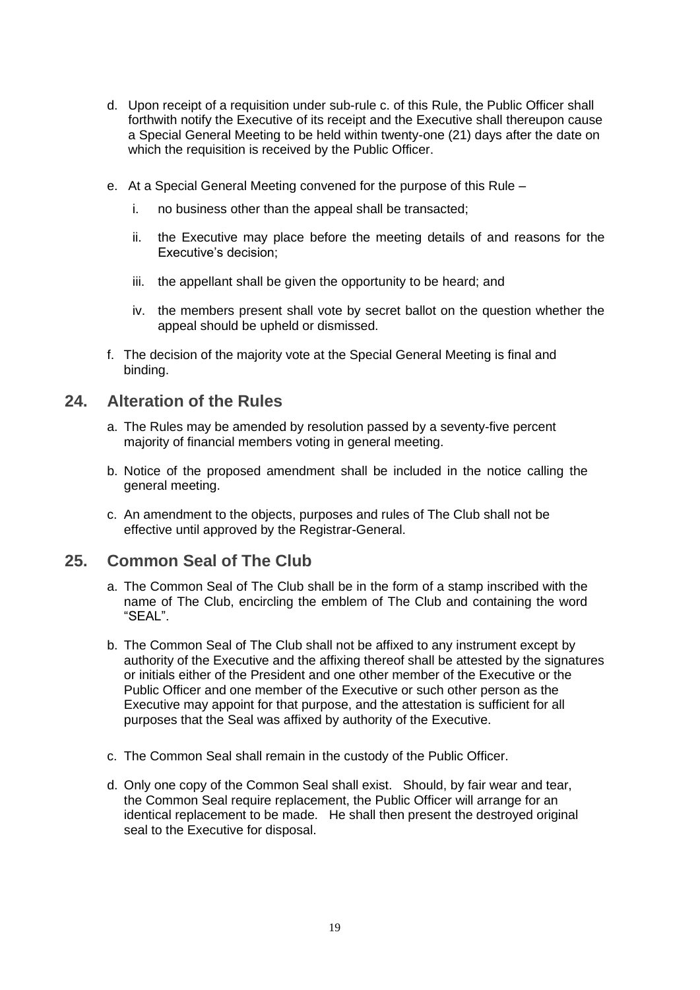- d. Upon receipt of a requisition under sub-rule c. of this Rule, the Public Officer shall forthwith notify the Executive of its receipt and the Executive shall thereupon cause a Special General Meeting to be held within twenty-one (21) days after the date on which the requisition is received by the Public Officer.
- e. At a Special General Meeting convened for the purpose of this Rule
	- i. no business other than the appeal shall be transacted;
	- ii. the Executive may place before the meeting details of and reasons for the Executive's decision;
	- iii. the appellant shall be given the opportunity to be heard; and
	- iv. the members present shall vote by secret ballot on the question whether the appeal should be upheld or dismissed.
- f. The decision of the majority vote at the Special General Meeting is final and binding.

## **24. Alteration of the Rules**

- a. The Rules may be amended by resolution passed by a seventy-five percent majority of financial members voting in general meeting.
- b. Notice of the proposed amendment shall be included in the notice calling the general meeting.
- c. An amendment to the objects, purposes and rules of The Club shall not be effective until approved by the Registrar-General.

# **25. Common Seal of The Club**

- a. The Common Seal of The Club shall be in the form of a stamp inscribed with the name of The Club, encircling the emblem of The Club and containing the word "SEAL".
- b. The Common Seal of The Club shall not be affixed to any instrument except by authority of the Executive and the affixing thereof shall be attested by the signatures or initials either of the President and one other member of the Executive or the Public Officer and one member of the Executive or such other person as the Executive may appoint for that purpose, and the attestation is sufficient for all purposes that the Seal was affixed by authority of the Executive.
- c. The Common Seal shall remain in the custody of the Public Officer.
- d. Only one copy of the Common Seal shall exist. Should, by fair wear and tear, the Common Seal require replacement, the Public Officer will arrange for an identical replacement to be made. He shall then present the destroyed original seal to the Executive for disposal.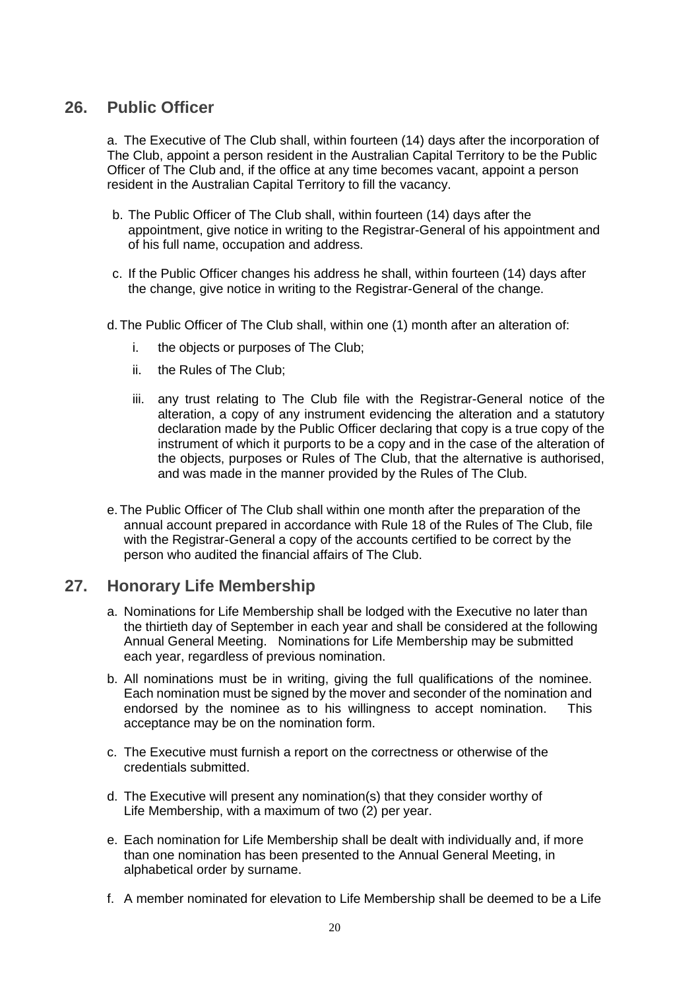# **26. Public Officer**

a. The Executive of The Club shall, within fourteen (14) days after the incorporation of The Club, appoint a person resident in the Australian Capital Territory to be the Public Officer of The Club and, if the office at any time becomes vacant, appoint a person resident in the Australian Capital Territory to fill the vacancy.

- b. The Public Officer of The Club shall, within fourteen (14) days after the appointment, give notice in writing to the Registrar-General of his appointment and of his full name, occupation and address.
- c. If the Public Officer changes his address he shall, within fourteen (14) days after the change, give notice in writing to the Registrar-General of the change.
- d.The Public Officer of The Club shall, within one (1) month after an alteration of:
	- i. the objects or purposes of The Club;
	- ii. the Rules of The Club;
	- iii. any trust relating to The Club file with the Registrar-General notice of the alteration, a copy of any instrument evidencing the alteration and a statutory declaration made by the Public Officer declaring that copy is a true copy of the instrument of which it purports to be a copy and in the case of the alteration of the objects, purposes or Rules of The Club, that the alternative is authorised, and was made in the manner provided by the Rules of The Club.
- e.The Public Officer of The Club shall within one month after the preparation of the annual account prepared in accordance with Rule 18 of the Rules of The Club, file with the Registrar-General a copy of the accounts certified to be correct by the person who audited the financial affairs of The Club.

# **27. Honorary Life Membership**

- a. Nominations for Life Membership shall be lodged with the Executive no later than the thirtieth day of September in each year and shall be considered at the following Annual General Meeting. Nominations for Life Membership may be submitted each year, regardless of previous nomination.
- b. All nominations must be in writing, giving the full qualifications of the nominee. Each nomination must be signed by the mover and seconder of the nomination and endorsed by the nominee as to his willingness to accept nomination. This acceptance may be on the nomination form.
- c. The Executive must furnish a report on the correctness or otherwise of the credentials submitted.
- d. The Executive will present any nomination(s) that they consider worthy of Life Membership, with a maximum of two (2) per year.
- e. Each nomination for Life Membership shall be dealt with individually and, if more than one nomination has been presented to the Annual General Meeting, in alphabetical order by surname.
- f. A member nominated for elevation to Life Membership shall be deemed to be a Life